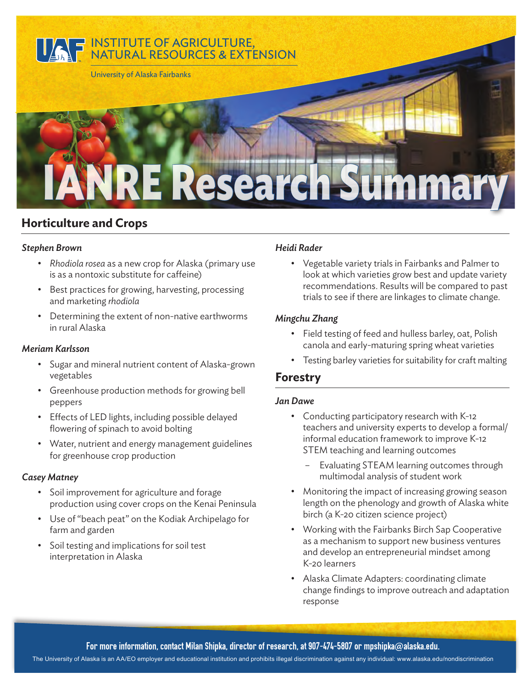

# **Horticulture and Crops**

#### *Stephen Brown*

- *Rhodiola rosea* as a new crop for Alaska (primary use is as a nontoxic substitute for caffeine)
- Best practices for growing, harvesting, processing and marketing *rhodiola*
- Determining the extent of non-native earthworms in rural Alaska

#### *Meriam Karlsson*

- Sugar and mineral nutrient content of Alaska-grown vegetables
- Greenhouse production methods for growing bell peppers
- Effects of LED lights, including possible delayed flowering of spinach to avoid bolting
- Water, nutrient and energy management guidelines for greenhouse crop production

#### *Casey Matney*

- Soil improvement for agriculture and forage production using cover crops on the Kenai Peninsula
- Use of "beach peat" on the Kodiak Archipelago for farm and garden
- Soil testing and implications for soil test interpretation in Alaska

#### *Heidi Rader*

• Vegetable variety trials in Fairbanks and Palmer to look at which varieties grow best and update variety recommendations. Results will be compared to past trials to see if there are linkages to climate change.

#### *Mingchu Zhang*

- Field testing of feed and hulless barley, oat, Polish canola and early-maturing spring wheat varieties
- Testing barley varieties for suitability for craft malting

## **Forestry**

#### *Jan Dawe*

- Conducting participatory research with K-12 teachers and university experts to develop a formal/ informal education framework to improve K-12 STEM teaching and learning outcomes
	- Evaluating STEAM learning outcomes through multimodal analysis of student work
- Monitoring the impact of increasing growing season length on the phenology and growth of Alaska white birch (a K-20 citizen science project)
- Working with the Fairbanks Birch Sap Cooperative as a mechanism to support new business ventures and develop an entrepreneurial mindset among K-20 learners
- Alaska Climate Adapters: coordinating climate change findings to improve outreach and adaptation response

For more information, contact Milan Shipka, director of research, at 907-474-5807 or mpshipka@alaska.edu.

The University of Alaska is an AA/EO employer and educational institution and prohibits illegal discrimination against any individual: www.alaska.edu/nondiscrimination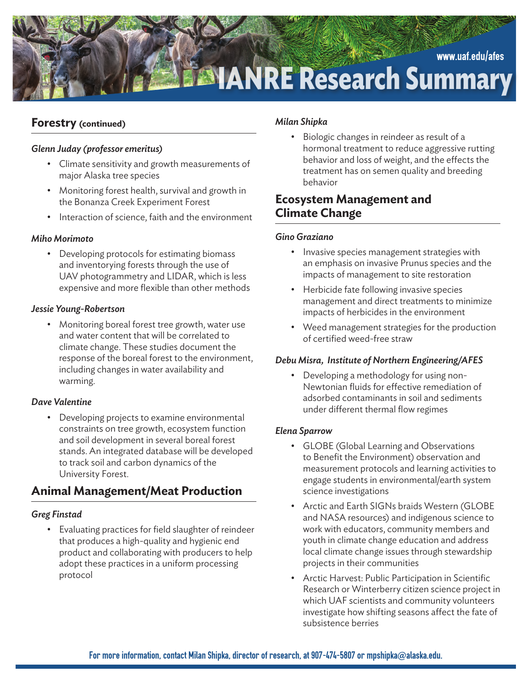

## **Forestry (continued)**

#### *Glenn Juday (professor emeritus)*

- Climate sensitivity and growth measurements of major Alaska tree species
- Monitoring forest health, survival and growth in the Bonanza Creek Experiment Forest
- Interaction of science, faith and the environment

#### *Miho Morimoto*

• Developing protocols for estimating biomass and inventorying forests through the use of UAV photogrammetry and LIDAR, which is less expensive and more flexible than other methods

#### *Jessie Young-Robertson*

• Monitoring boreal forest tree growth, water use and water content that will be correlated to climate change. These studies document the response of the boreal forest to the environment, including changes in water availability and warming.

## *Dave Valentine*

• Developing projects to examine environmental constraints on tree growth, ecosystem function and soil development in several boreal forest stands. An integrated database will be developed to track soil and carbon dynamics of the University Forest.

# **Animal Management/Meat Production**

## *Greg Finstad*

• Evaluating practices for field slaughter of reindeer that produces a high-quality and hygienic end product and collaborating with producers to help adopt these practices in a uniform processing protocol

#### *Milan Shipka*

• Biologic changes in reindeer as result of a hormonal treatment to reduce aggressive rutting behavior and loss of weight, and the effects the treatment has on semen quality and breeding behavior

# **Ecosystem Management and Climate Change**

#### *Gino Graziano*

- Invasive species management strategies with an emphasis on invasive Prunus species and the impacts of management to site restoration
- Herbicide fate following invasive species management and direct treatments to minimize impacts of herbicides in the environment
- Weed management strategies for the production of certified weed-free straw

## *Debu Misra, Institute of Northern Engineering/AFES*

• Developing a methodology for using non-Newtonian fluids for effective remediation of adsorbed contaminants in soil and sediments under different thermal flow regimes

## *Elena Sparrow*

- GLOBE (Global Learning and Observations to Benefit the Environment) observation and measurement protocols and learning activities to engage students in environmental/earth system science investigations
- Arctic and Earth SIGNs braids Western (GLOBE and NASA resources) and indigenous science to work with educators, community members and youth in climate change education and address local climate change issues through stewardship projects in their communities
- Arctic Harvest: Public Participation in Scientific Research or Winterberry citizen science project in which UAF scientists and community volunteers investigate how shifting seasons affect the fate of subsistence berries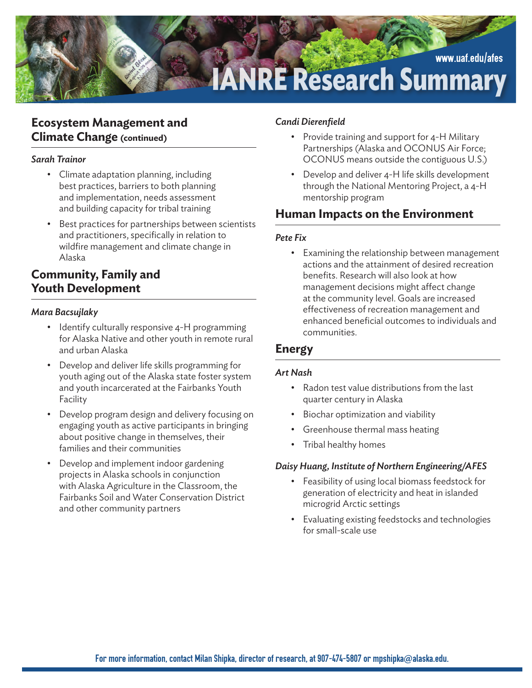

## **Ecosystem Management and Climate Change (continued)**

#### *Sarah Trainor*

- Climate adaptation planning, including best practices, barriers to both planning and implementation, needs assessment and building capacity for tribal training
- Best practices for partnerships between scientists and practitioners, specifically in relation to wildfire management and climate change in Alaska

# **Community, Family and Youth Development**

#### *Mara Bacsujlaky*

- Identify culturally responsive 4-H programming for Alaska Native and other youth in remote rural and urban Alaska
- Develop and deliver life skills programming for youth aging out of the Alaska state foster system and youth incarcerated at the Fairbanks Youth Facility
- Develop program design and delivery focusing on engaging youth as active participants in bringing about positive change in themselves, their families and their communities
- Develop and implement indoor gardening projects in Alaska schools in conjunction with Alaska Agriculture in the Classroom, the Fairbanks Soil and Water Conservation District and other community partners

#### *Candi Dierenfield*

- Provide training and support for 4-H Military Partnerships (Alaska and OCONUS Air Force; OCONUS means outside the contiguous U.S.)
- Develop and deliver 4-H life skills development through the National Mentoring Project, a 4-H mentorship program

# **Human Impacts on the Environment**

#### *Pete Fix*

• Examining the relationship between management actions and the attainment of desired recreation benefits. Research will also look at how management decisions might affect change at the community level. Goals are increased effectiveness of recreation management and enhanced beneficial outcomes to individuals and communities.

## **Energy**

#### *Art Nash*

- Radon test value distributions from the last quarter century in Alaska
- Biochar optimization and viability
- Greenhouse thermal mass heating
- Tribal healthy homes

## *Daisy Huang, Institute of Northern Engineering/AFES*

- Feasibility of using local biomass feedstock for generation of electricity and heat in islanded microgrid Arctic settings
- Evaluating existing feedstocks and technologies for small-scale use